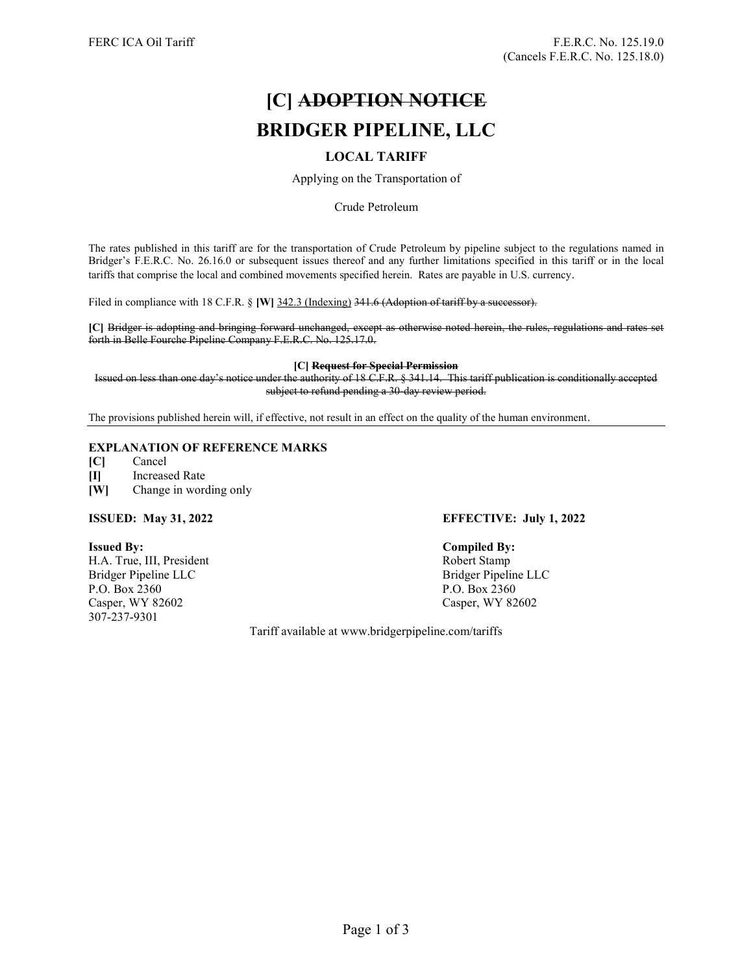# [C] ADOPTION NOTICE BRIDGER PIPELINE, LLC

# LOCAL TARIFF

Applying on the Transportation of

Crude Petroleum

The rates published in this tariff are for the transportation of Crude Petroleum by pipeline subject to the regulations named in Bridger's F.E.R.C. No. 26.16.0 or subsequent issues thereof and any further limitations specified in this tariff or in the local tariffs that comprise the local and combined movements specified herein. Rates are payable in U.S. currency.

Filed in compliance with 18 C.F.R. § [W] 342.3 (Indexing) 341.6 (Adoption of tariff by a successor).

[C] Bridger is adopting and bringing forward unchanged, except as otherwise noted herein, the rules, regulations and rates set forth in Belle Fourche Pipeline Company F.E.R.C. No. 125.17.0.

### [C] Request for Special Permission

Issued on less than one day's notice under the authority of 18 C.F.R. § 341.14. This tariff publication is conditionally accepted subject to refund pending a 30-day review period.

The provisions published herein will, if effective, not result in an effect on the quality of the human environment.

# EXPLANATION OF REFERENCE MARKS

- [C] Cancel
- [I] Increased Rate
- [W] Change in wording only

H.A. True, III, President Robert Stamp Bridger Pipeline LLC Bridger Pipeline LLC P.O. Box 2360 P.O. Box 2360 Casper, WY 82602 Casper, WY 82602 307-237-9301

# ISSUED: May 31, 2022 EFFECTIVE: July 1, 2022

Issued By: Compiled By:

Tariff available at www.bridgerpipeline.com/tariffs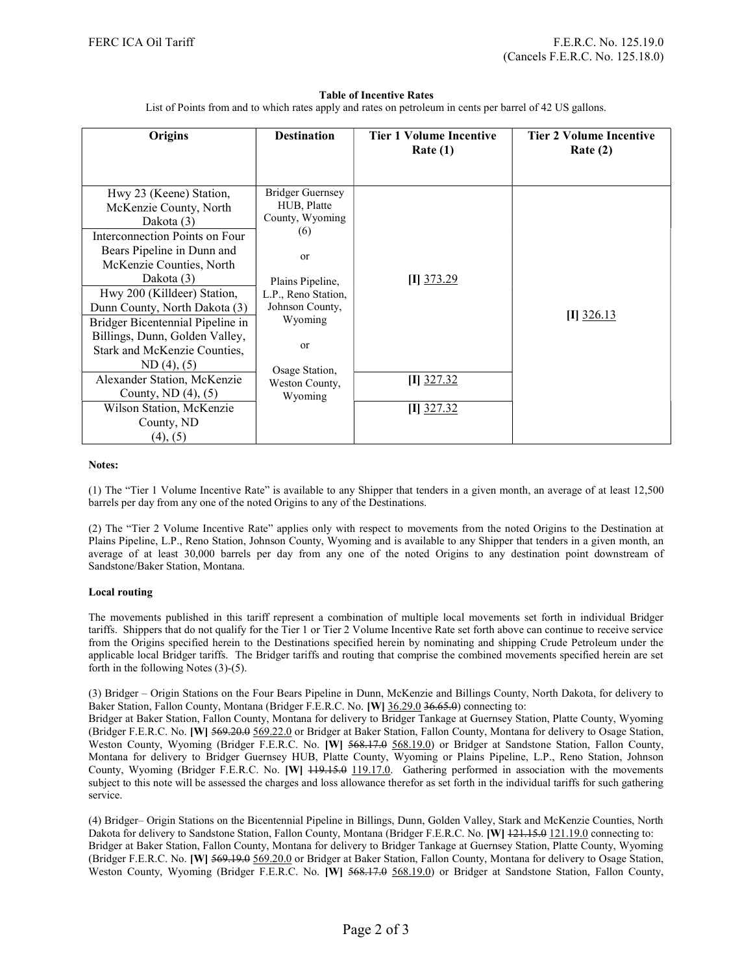# Table of Incentive Rates

List of Points from and to which rates apply and rates on petroleum in cents per barrel of 42 US gallons.

| Origins                                                                                                          | <b>Destination</b>                                                    | <b>Tier 1 Volume Incentive</b><br>Rate(1) | <b>Tier 2 Volume Incentive</b><br>Rate $(2)$ |
|------------------------------------------------------------------------------------------------------------------|-----------------------------------------------------------------------|-------------------------------------------|----------------------------------------------|
| Hwy 23 (Keene) Station,<br>McKenzie County, North<br>Dakota (3)                                                  | <b>Bridger Guernsey</b><br>HUB, Platte<br>County, Wyoming             |                                           |                                              |
| Interconnection Points on Four<br>Bears Pipeline in Dunn and<br>McKenzie Counties, North                         | (6)<br>or                                                             |                                           |                                              |
| Dakota (3)<br>Hwy 200 (Killdeer) Station,<br>Dunn County, North Dakota (3)                                       | Plains Pipeline,<br>L.P., Reno Station,<br>Johnson County,<br>Wyoming | $[I]$ 373.29                              | $[I]$ 326.13                                 |
| Bridger Bicentennial Pipeline in<br>Billings, Dunn, Golden Valley,<br>Stark and McKenzie Counties,<br>ND(4), (5) | <sub>or</sub>                                                         |                                           |                                              |
| Alexander Station, McKenzie<br>County, ND $(4)$ , $(5)$                                                          | Osage Station,<br>Weston County,<br>Wyoming                           | $[I]$ 327.32                              |                                              |
| Wilson Station, McKenzie<br>County, ND<br>(4), (5)                                                               |                                                                       | $II$ 327.32                               |                                              |

# Notes:

(1) The "Tier 1 Volume Incentive Rate" is available to any Shipper that tenders in a given month, an average of at least 12,500 barrels per day from any one of the noted Origins to any of the Destinations.

(2) The "Tier 2 Volume Incentive Rate" applies only with respect to movements from the noted Origins to the Destination at Plains Pipeline, L.P., Reno Station, Johnson County, Wyoming and is available to any Shipper that tenders in a given month, an average of at least 30,000 barrels per day from any one of the noted Origins to any destination point downstream of Sandstone/Baker Station, Montana.

# Local routing

The movements published in this tariff represent a combination of multiple local movements set forth in individual Bridger tariffs. Shippers that do not qualify for the Tier 1 or Tier 2 Volume Incentive Rate set forth above can continue to receive service from the Origins specified herein to the Destinations specified herein by nominating and shipping Crude Petroleum under the applicable local Bridger tariffs. The Bridger tariffs and routing that comprise the combined movements specified herein are set forth in the following Notes (3)-(5).

(3) Bridger – Origin Stations on the Four Bears Pipeline in Dunn, McKenzie and Billings County, North Dakota, for delivery to Baker Station, Fallon County, Montana (Bridger F.E.R.C. No. [W] 36.29.0 36.65.0) connecting to: Bridger at Baker Station, Fallon County, Montana for delivery to Bridger Tankage at Guernsey Station, Platte County, Wyoming

(Bridger F.E.R.C. No. [W] 569.20.0 569.22.0 or Bridger at Baker Station, Fallon County, Montana for delivery to Osage Station, Weston County, Wyoming (Bridger F.E.R.C. No. [W] 568.17.0 568.19.0) or Bridger at Sandstone Station, Fallon County, Montana for delivery to Bridger Guernsey HUB, Platte County, Wyoming or Plains Pipeline, L.P., Reno Station, Johnson County, Wyoming (Bridger F.E.R.C. No. [W]  $119.15.0$  119.17.0. Gathering performed in association with the movements subject to this note will be assessed the charges and loss allowance therefor as set forth in the individual tariffs for such gathering service.

(4) Bridger– Origin Stations on the Bicentennial Pipeline in Billings, Dunn, Golden Valley, Stark and McKenzie Counties, North Dakota for delivery to Sandstone Station, Fallon County, Montana (Bridger F.E.R.C. No. [W] 121.15.0 121.19.0 connecting to: Bridger at Baker Station, Fallon County, Montana for delivery to Bridger Tankage at Guernsey Station, Platte County, Wyoming (Bridger F.E.R.C. No. [W] 569.19.0 569.20.0 or Bridger at Baker Station, Fallon County, Montana for delivery to Osage Station, Weston County, Wyoming (Bridger F.E.R.C. No. [W] 568.17.0 568.19.0) or Bridger at Sandstone Station, Fallon County,